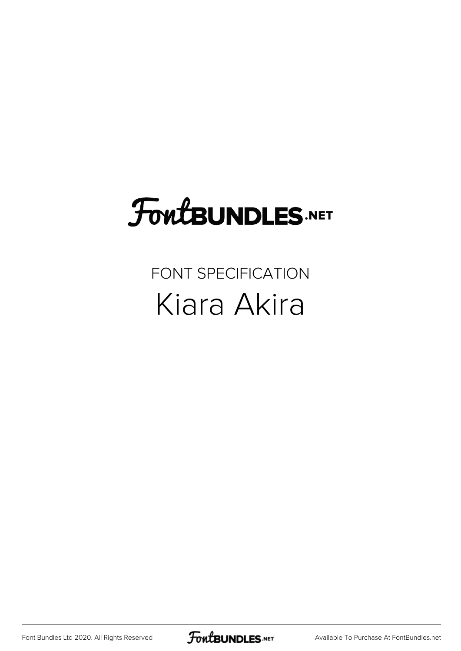## **FoutBUNDLES.NET**

## FONT SPECIFICATION Kiara Akira

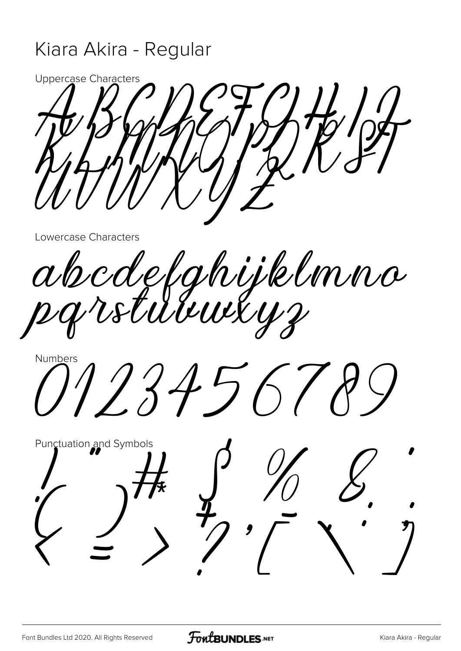## Kiara Akira - Regular

Uppercase Characters

Lowercase Characters

abcdefghijklmna<br>pgrstuuusys

Numbers 123456

Punctuation and Symbols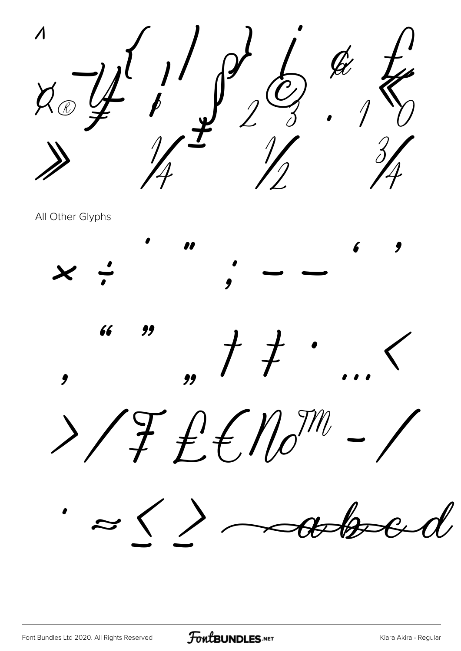$\rightarrow$   $\begin{matrix} 1 \\ 1 \end{matrix}$  of  $\begin{matrix} 1 \\ 0 \end{matrix}$  to the  $\varphi \circ \varphi \circ \psi$   $\varphi \circ \varphi$   $\psi$  $\frac{1}{\sqrt{2}}$  $\mathscr{M}$   $\mathscr{M}$   $\mathscr{M}$ 

All Other Glyphs

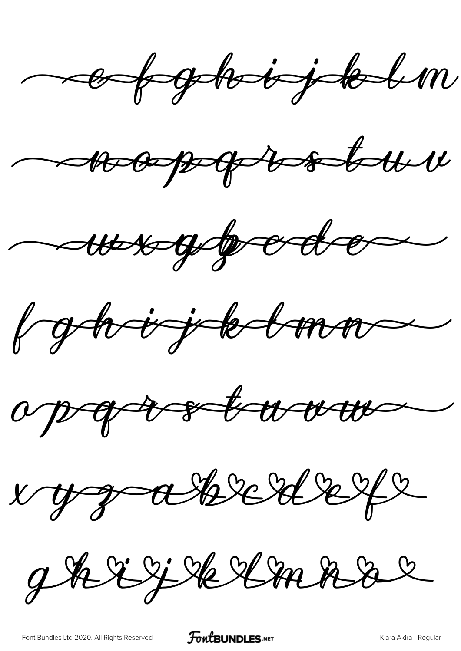ef globjæl











ghrijklmar